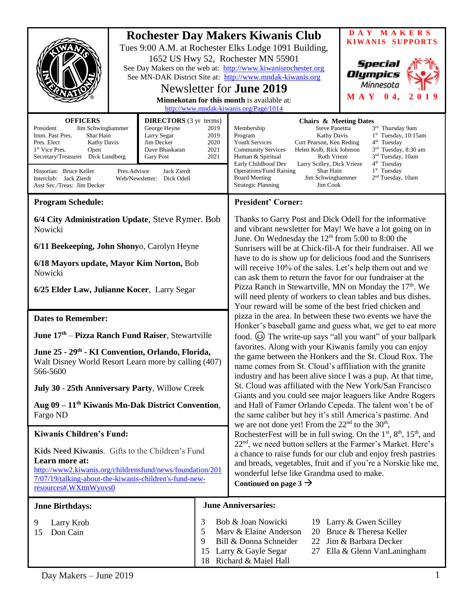|                                                                                                                                                                                                                                                                                                                                                                                                                                                                                                                | <b>Rochester Day Makers Kiwanis Club</b><br>Tues 9:00 A.M. at Rochester Elks Lodge 1091 Building,<br>1652 US Hwy 52, Rochester MN 55901<br>See Day Makers on the web at: http://www.kiwanisrochester.org<br>See MN-DAK District Site at: http://www.mndak-kiwanis.org<br>Newsletter for <b>June 2019</b><br>Minnekotan for this month is available at:<br>http://www.mndak-kiwanis.org/Page/1014 |                                                                                                                                                                                                                                                                                                                                                                                                                                                                                                                                                                                                                                                                                                                                                                                                                                                                                                                                                                                                                                                                                                                                                                                                                                                                                                                                                                                                                                                                                                                                                                                                                                                                                                                                                                                      | DAY MAKERS<br><b>KIWANIS SUPPORTS</b><br>Special<br>Olympics<br>Minnesota<br>M A Y 0 4,                                                                                                 |
|----------------------------------------------------------------------------------------------------------------------------------------------------------------------------------------------------------------------------------------------------------------------------------------------------------------------------------------------------------------------------------------------------------------------------------------------------------------------------------------------------------------|--------------------------------------------------------------------------------------------------------------------------------------------------------------------------------------------------------------------------------------------------------------------------------------------------------------------------------------------------------------------------------------------------|--------------------------------------------------------------------------------------------------------------------------------------------------------------------------------------------------------------------------------------------------------------------------------------------------------------------------------------------------------------------------------------------------------------------------------------------------------------------------------------------------------------------------------------------------------------------------------------------------------------------------------------------------------------------------------------------------------------------------------------------------------------------------------------------------------------------------------------------------------------------------------------------------------------------------------------------------------------------------------------------------------------------------------------------------------------------------------------------------------------------------------------------------------------------------------------------------------------------------------------------------------------------------------------------------------------------------------------------------------------------------------------------------------------------------------------------------------------------------------------------------------------------------------------------------------------------------------------------------------------------------------------------------------------------------------------------------------------------------------------------------------------------------------------|-----------------------------------------------------------------------------------------------------------------------------------------------------------------------------------------|
| <b>OFFICERS</b><br><b>DIRECTORS</b> (3 yr terms)<br>President<br>Jim Schwinghammer<br>George Heyne<br>2019<br>Imm. Past Pres.<br>Larry Segar<br>2019<br>Shar Hain<br>Pres. Elect<br><b>Kathy Davis</b><br>Jim Decker<br>2020<br>1 <sup>st</sup> Vice Pres.<br>Open<br>Dave Bhaskaran<br>2021<br>Secretary/Treasurer Dick Lundberg<br>2021<br><b>Gary Post</b><br>Historian: Bruce Keller<br>Pres.Advisor<br>Jack Zierdt<br>Interclub: Jack Zierdt<br>Web/Newsletter: Dick Odell<br>Asst Sec./Treas: Jim Decker |                                                                                                                                                                                                                                                                                                                                                                                                  | <b>Chairs &amp; Meeting Dates</b><br>Membership<br><b>Steve Panettta</b><br>Kathy Davis<br>Program<br><b>Youth Services</b><br>Curt Pearson, Ken Reding<br><b>Community Services</b><br>Helen Kolb, Rick Johnson<br><b>Ruth Vrieze</b><br>Human & Spiritual<br>Early Childhood Dev<br>Larry Scilley, Dick Vrieze<br><b>Operations/Fund Raising</b><br>Shar Hain<br><b>Board Meeting</b><br>Jim Schwinghammer<br>$\mathop{\text{Jim}}\nolimits\mathop{\text{Cook}}$<br><b>Strategic Planning</b>                                                                                                                                                                                                                                                                                                                                                                                                                                                                                                                                                                                                                                                                                                                                                                                                                                                                                                                                                                                                                                                                                                                                                                                                                                                                                      | 3rd Thursday 9am<br>$1st$ Tuesday, 10:15am<br>$4th$ Tuesday<br>3rd Tuesday, 8:30 am<br>3 <sup>nd</sup> Tuesday, 10am<br>$4th$ Tuesday<br>$1st$ Tuesday<br>2 <sup>nd</sup> Tuesday, 10am |
| <b>Program Schedule:</b>                                                                                                                                                                                                                                                                                                                                                                                                                                                                                       |                                                                                                                                                                                                                                                                                                                                                                                                  | <b>President' Corner:</b>                                                                                                                                                                                                                                                                                                                                                                                                                                                                                                                                                                                                                                                                                                                                                                                                                                                                                                                                                                                                                                                                                                                                                                                                                                                                                                                                                                                                                                                                                                                                                                                                                                                                                                                                                            |                                                                                                                                                                                         |
| 6/4 City Administration Update, Steve Rymer. Bob<br>Nowicki                                                                                                                                                                                                                                                                                                                                                                                                                                                    |                                                                                                                                                                                                                                                                                                                                                                                                  | Thanks to Garry Post and Dick Odell for the informative<br>and vibrant newsletter for May! We have a lot going on in<br>June. On Wednesday the $12th$ from 5:00 to 8:00 the<br>Sunrisers will be at Chick-fil-A for their fundraiser. All we<br>have to do is show up for delicious food and the Sunrisers<br>will receive 10% of the sales. Let's help them out and we<br>can ask them to return the favor for our fundraiser at the<br>Pizza Ranch in Stewartville, MN on Monday the 17 <sup>th</sup> . We<br>will need plenty of workers to clean tables and bus dishes.<br>Your reward will be some of the best fried chicken and<br>pizza in the area. In between these two events we have the<br>Honker's baseball game and guess what, we get to eat more<br>food. $\circled{c}$ The write-up says "all you want" of your ballpark<br>favorites. Along with your Kiwanis family you can enjoy<br>the game between the Honkers and the St. Cloud Rox. The<br>name comes from St. Cloud's affiliation with the granite<br>industry and has been alive since I was a pup. At that time,<br>St. Cloud was affiliated with the New York/San Francisco<br>Giants and you could see major leaguers like Andre Rogers<br>and Hall of Famer Orlando Cepeda. The talent won't be of<br>the same caliber but hey it's still America's pastime. And<br>we are not done yet! From the $22nd$ to the $30th$ ,<br>RochesterFest will be in full swing. On the $1st$ , $8th$ , $15th$ , and<br>22 <sup>nd</sup> , we need button sellers at the Farmer's Market. Here's<br>a chance to raise funds for our club and enjoy fresh pastries<br>and breads, vegetables, fruit and if you're a Norskie like me,<br>wonderful lefse like Grandma used to make.<br>Continued on page $3 \rightarrow$ |                                                                                                                                                                                         |
| 6/11 Beekeeping, John Shonyo, Carolyn Heyne<br>6/18 Mayors update, Mayor Kim Norton, Bob<br>Nowicki                                                                                                                                                                                                                                                                                                                                                                                                            |                                                                                                                                                                                                                                                                                                                                                                                                  |                                                                                                                                                                                                                                                                                                                                                                                                                                                                                                                                                                                                                                                                                                                                                                                                                                                                                                                                                                                                                                                                                                                                                                                                                                                                                                                                                                                                                                                                                                                                                                                                                                                                                                                                                                                      |                                                                                                                                                                                         |
| 6/25 Elder Law, Julianne Kocer, Larry Segar                                                                                                                                                                                                                                                                                                                                                                                                                                                                    |                                                                                                                                                                                                                                                                                                                                                                                                  |                                                                                                                                                                                                                                                                                                                                                                                                                                                                                                                                                                                                                                                                                                                                                                                                                                                                                                                                                                                                                                                                                                                                                                                                                                                                                                                                                                                                                                                                                                                                                                                                                                                                                                                                                                                      |                                                                                                                                                                                         |
| <b>Dates to Remember:</b>                                                                                                                                                                                                                                                                                                                                                                                                                                                                                      |                                                                                                                                                                                                                                                                                                                                                                                                  |                                                                                                                                                                                                                                                                                                                                                                                                                                                                                                                                                                                                                                                                                                                                                                                                                                                                                                                                                                                                                                                                                                                                                                                                                                                                                                                                                                                                                                                                                                                                                                                                                                                                                                                                                                                      |                                                                                                                                                                                         |
| June 17 <sup>th</sup> - Pizza Ranch Fund Raiser, Stewartville                                                                                                                                                                                                                                                                                                                                                                                                                                                  |                                                                                                                                                                                                                                                                                                                                                                                                  |                                                                                                                                                                                                                                                                                                                                                                                                                                                                                                                                                                                                                                                                                                                                                                                                                                                                                                                                                                                                                                                                                                                                                                                                                                                                                                                                                                                                                                                                                                                                                                                                                                                                                                                                                                                      |                                                                                                                                                                                         |
| June 25 - 29 <sup>th</sup> - KI Convention, Orlando, Florida,<br>Walt Disney World Resort Learn more by calling (407)<br>566-5600                                                                                                                                                                                                                                                                                                                                                                              |                                                                                                                                                                                                                                                                                                                                                                                                  |                                                                                                                                                                                                                                                                                                                                                                                                                                                                                                                                                                                                                                                                                                                                                                                                                                                                                                                                                                                                                                                                                                                                                                                                                                                                                                                                                                                                                                                                                                                                                                                                                                                                                                                                                                                      |                                                                                                                                                                                         |
| July 30 - 25th Anniversary Party, Willow Creek                                                                                                                                                                                                                                                                                                                                                                                                                                                                 |                                                                                                                                                                                                                                                                                                                                                                                                  |                                                                                                                                                                                                                                                                                                                                                                                                                                                                                                                                                                                                                                                                                                                                                                                                                                                                                                                                                                                                                                                                                                                                                                                                                                                                                                                                                                                                                                                                                                                                                                                                                                                                                                                                                                                      |                                                                                                                                                                                         |
| Aug 09 – 11 <sup>th</sup> Kiwanis Mn-Dak District Convention,<br>Fargo ND                                                                                                                                                                                                                                                                                                                                                                                                                                      |                                                                                                                                                                                                                                                                                                                                                                                                  |                                                                                                                                                                                                                                                                                                                                                                                                                                                                                                                                                                                                                                                                                                                                                                                                                                                                                                                                                                                                                                                                                                                                                                                                                                                                                                                                                                                                                                                                                                                                                                                                                                                                                                                                                                                      |                                                                                                                                                                                         |
| <b>Kiwanis Children's Fund:</b>                                                                                                                                                                                                                                                                                                                                                                                                                                                                                |                                                                                                                                                                                                                                                                                                                                                                                                  |                                                                                                                                                                                                                                                                                                                                                                                                                                                                                                                                                                                                                                                                                                                                                                                                                                                                                                                                                                                                                                                                                                                                                                                                                                                                                                                                                                                                                                                                                                                                                                                                                                                                                                                                                                                      |                                                                                                                                                                                         |
| Kids Need Kiwanis. Gifts to the Children's Fund<br>Learn more at:<br>http://www2.kiwanis.org/childrensfund/news/foundation/201<br>7/07/19/talking-about-the-kiwanis-children's-fund-new-<br>resources#.WXttnWyovs0                                                                                                                                                                                                                                                                                             |                                                                                                                                                                                                                                                                                                                                                                                                  |                                                                                                                                                                                                                                                                                                                                                                                                                                                                                                                                                                                                                                                                                                                                                                                                                                                                                                                                                                                                                                                                                                                                                                                                                                                                                                                                                                                                                                                                                                                                                                                                                                                                                                                                                                                      |                                                                                                                                                                                         |
| <b>Jnne Birthdays:</b>                                                                                                                                                                                                                                                                                                                                                                                                                                                                                         |                                                                                                                                                                                                                                                                                                                                                                                                  | <b>June Anniversaries:</b>                                                                                                                                                                                                                                                                                                                                                                                                                                                                                                                                                                                                                                                                                                                                                                                                                                                                                                                                                                                                                                                                                                                                                                                                                                                                                                                                                                                                                                                                                                                                                                                                                                                                                                                                                           |                                                                                                                                                                                         |
| 9<br>Larry Krob<br>Don Cain<br>15                                                                                                                                                                                                                                                                                                                                                                                                                                                                              | 3<br>5<br>9<br>15                                                                                                                                                                                                                                                                                                                                                                                | Bob & Joan Nowicki<br>19 Larry & Gwen Scilley<br>20 Bruce & Theresa Keller<br>Marv & Elaine Anderson<br>Bill & Donna Schneider<br>Jim & Barbara Decker<br>22<br>Larry & Gayle Segar<br>27 Ella & Glenn VanLaningham<br>18 Richard & Majel Hall                                                                                                                                                                                                                                                                                                                                                                                                                                                                                                                                                                                                                                                                                                                                                                                                                                                                                                                                                                                                                                                                                                                                                                                                                                                                                                                                                                                                                                                                                                                                       |                                                                                                                                                                                         |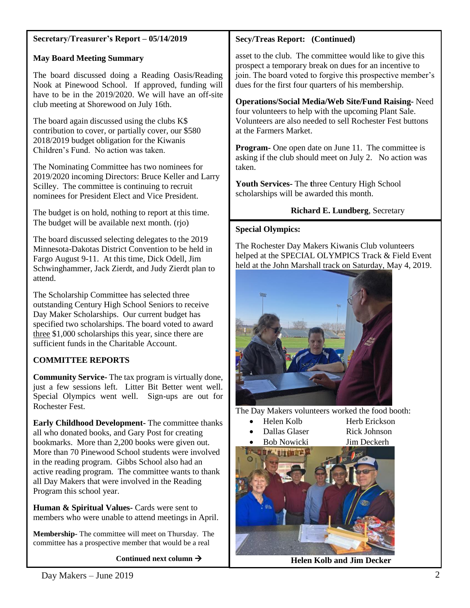| Secretary/Treasurer's Report - 05/14/2019                                                                                                                                                                                                                                                                                                                                                                                                                                                                                                                                                                                                        | <b>Secy/Treas Report: (Continued)</b>                                                                                                                                                                                                                                                                                                                                                                                                     |  |
|--------------------------------------------------------------------------------------------------------------------------------------------------------------------------------------------------------------------------------------------------------------------------------------------------------------------------------------------------------------------------------------------------------------------------------------------------------------------------------------------------------------------------------------------------------------------------------------------------------------------------------------------------|-------------------------------------------------------------------------------------------------------------------------------------------------------------------------------------------------------------------------------------------------------------------------------------------------------------------------------------------------------------------------------------------------------------------------------------------|--|
| <b>May Board Meeting Summary</b><br>The board discussed doing a Reading Oasis/Reading<br>Nook at Pinewood School. If approved, funding will<br>have to be in the 2019/2020. We will have an off-site                                                                                                                                                                                                                                                                                                                                                                                                                                             | asset to the club. The committee would like to give this<br>prospect a temporary break on dues for an incentive to<br>join. The board voted to forgive this prospective member's<br>dues for the first four quarters of his membership.                                                                                                                                                                                                   |  |
| club meeting at Shorewood on July 16th.<br>The board again discussed using the clubs K\$<br>contribution to cover, or partially cover, our \$580<br>2018/2019 budget obligation for the Kiwanis<br>Children's Fund. No action was taken.                                                                                                                                                                                                                                                                                                                                                                                                         | <b>Operations/Social Media/Web Site/Fund Raising-Need</b><br>four volunteers to help with the upcoming Plant Sale.<br>Volunteers are also needed to sell Rochester Fest buttons<br>at the Farmers Market.<br><b>Program-</b> One open date on June 11. The committee is<br>asking if the club should meet on July 2. No action was<br>taken.<br>Youth Services- The three Century High School<br>scholarships will be awarded this month. |  |
| The Nominating Committee has two nominees for<br>2019/2020 incoming Directors: Bruce Keller and Larry<br>Scilley. The committee is continuing to recruit<br>nominees for President Elect and Vice President.                                                                                                                                                                                                                                                                                                                                                                                                                                     |                                                                                                                                                                                                                                                                                                                                                                                                                                           |  |
| The budget is on hold, nothing to report at this time.<br>The budget will be available next month. (rjo)                                                                                                                                                                                                                                                                                                                                                                                                                                                                                                                                         | <b>Richard E. Lundberg, Secretary</b>                                                                                                                                                                                                                                                                                                                                                                                                     |  |
| The board discussed selecting delegates to the 2019<br>Minnesota-Dakotas District Convention to be held in<br>Fargo August 9-11. At this time, Dick Odell, Jim<br>Schwinghammer, Jack Zierdt, and Judy Zierdt plan to<br>attend.                                                                                                                                                                                                                                                                                                                                                                                                                 | <b>Special Olympics:</b><br>The Rochester Day Makers Kiwanis Club volunteers<br>helped at the SPECIAL OLYMPICS Track & Field Event<br>held at the John Marshall track on Saturday, May 4, 2019.                                                                                                                                                                                                                                           |  |
| The Scholarship Committee has selected three<br>outstanding Century High School Seniors to receive<br>Day Maker Scholarships. Our current budget has<br>specified two scholarships. The board voted to award<br>three \$1,000 scholarships this year, since there are<br>sufficient funds in the Charitable Account.                                                                                                                                                                                                                                                                                                                             |                                                                                                                                                                                                                                                                                                                                                                                                                                           |  |
| <b>COMMITTEE REPORTS</b>                                                                                                                                                                                                                                                                                                                                                                                                                                                                                                                                                                                                                         |                                                                                                                                                                                                                                                                                                                                                                                                                                           |  |
| <b>Community Service-</b> The tax program is virtually done,<br>just a few sessions left. Litter Bit Better went well.<br>Special Olympics went well. Sign-ups are out for<br>Rochester Fest.                                                                                                                                                                                                                                                                                                                                                                                                                                                    | The Day Makers volunteers worked the food booth:                                                                                                                                                                                                                                                                                                                                                                                          |  |
| <b>Early Childhood Development-</b> The committee thanks<br>all who donated books, and Gary Post for creating<br>bookmarks. More than 2,200 books were given out.<br>More than 70 Pinewood School students were involved<br>in the reading program. Gibbs School also had an<br>active reading program. The committee wants to thank<br>all Day Makers that were involved in the Reading<br>Program this school year.<br>Human & Spiritual Values- Cards were sent to<br>members who were unable to attend meetings in April.<br>Membership- The committee will meet on Thursday. The<br>committee has a prospective member that would be a real | Helen Kolb<br>Herb Erickson<br>Dallas Glaser<br>Rick Johnson<br><b>Bob Nowicki</b><br>Jim Deckerh<br>大自由的方向                                                                                                                                                                                                                                                                                                                               |  |

**Continued next column** →

#### **BT TAL Helen Kolb and Jim Decker**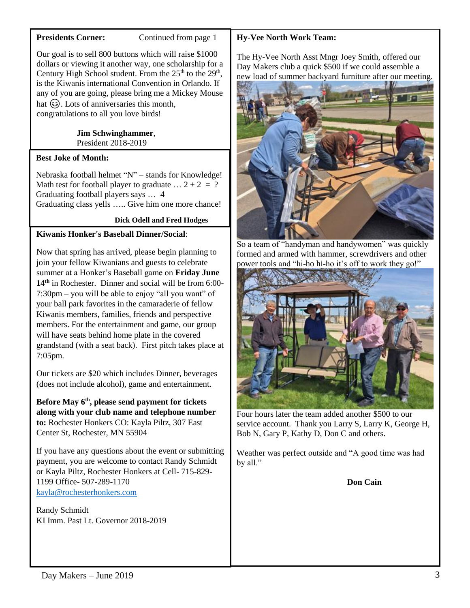### **Presidents Corner:** Continued from page 1

Our goal is to sell 800 buttons which will raise \$1000 dollars or viewing it another way, one scholarship for a Century High School student. From the  $25<sup>th</sup>$  to the  $29<sup>th</sup>$ , is the Kiwanis international Convention in Orlando. If any of you are going, please bring me a Mickey Mouse hat  $\circled{c}$ . Lots of anniversaries this month, congratulations to all you love birds!

### **Jim Schwinghammer**, President 2018-2019

# **Best Joke of Month:**

Nebraska football helmet "N" – stands for Knowledge! Math test for football player to graduate  $\ldots$  2 + 2 = ? Graduating football players says … 4 Graduating class yells ….. Give him one more chance!

## **Dick Odell and Fred Hodges**

# **Kiwanis Honker's Baseball Dinner/Social**:

Now that spring has arrived, please begin planning to join your fellow Kiwanians and guests to celebrate summer at a Honker's Baseball game on **Friday June 14th** in Rochester. Dinner and social will be from 6:00- 7:30pm – you will be able to enjoy "all you want" of your ball park favorites in the camaraderie of fellow Kiwanis members, families, friends and perspective members. For the entertainment and game, our group will have seats behind home plate in the covered grandstand (with a seat back). First pitch takes place at 7:05pm.

Our tickets are \$20 which includes Dinner, beverages (does not include alcohol), game and entertainment.

**Before May 6th, please send payment for tickets along with your club name and telephone number to:** Rochester Honkers CO: Kayla Piltz, 307 East Center St, Rochester, MN 55904

If you have any questions about the event or submitting payment, you are welcome to contact Randy Schmidt or Kayla Piltz, Rochester Honkers at Cell- 715-829- 1199 Office- 507-289-1170 [kayla@rochesterhonkers.com](mailto:kayla@rochesterhonkers.com)

Randy Schmidt KI Imm. Past Lt. Governor 2018-2019

## **Hy-Vee North Work Team:**

The Hy-Vee North Asst Mngr Joey Smith, offered our Day Makers club a quick \$500 if we could assemble a new load of summer backyard furniture after our meeting.



So a team of "handyman and handywomen" was quickly formed and armed with hammer, screwdrivers and other power tools and "hi-ho hi-ho it's off to work they go!"



Four hours later the team added another \$500 to our service account. Thank you Larry S, Larry K, George H, Bob N, Gary P, Kathy D, Don C and others.

Weather was perfect outside and "A good time was had by all."

**Don Cain**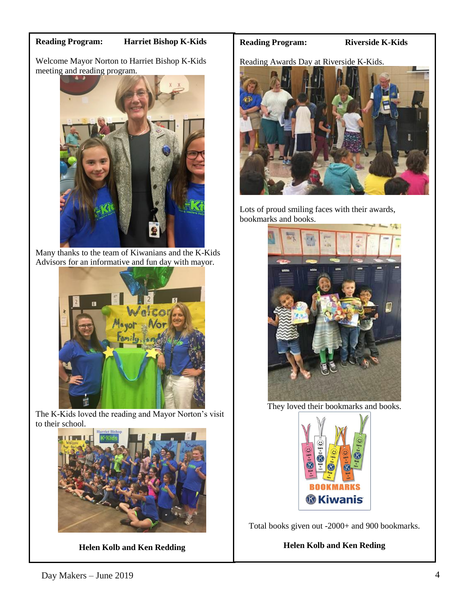#### **Reading Program: Harriet Bishop K-Kids**

Welcome Mayor Norton to Harriet Bishop K-Kids meeting and reading program.



Many thanks to the team of Kiwanians and the K-Kids Advisors for an informative and fun day with mayor.



The K-Kids loved the reading and Mayor Norton's visit to their school.



**Helen Kolb and Ken Redding**

#### **Reading Program: Riverside K-Kids**

Reading Awards Day at Riverside K-Kids.



Lots of proud smiling faces with their awards, bookmarks and books.



They loved their bookmarks and books.



Total books given out -2000+ and 900 bookmarks.

## **Helen Kolb and Ken Reding**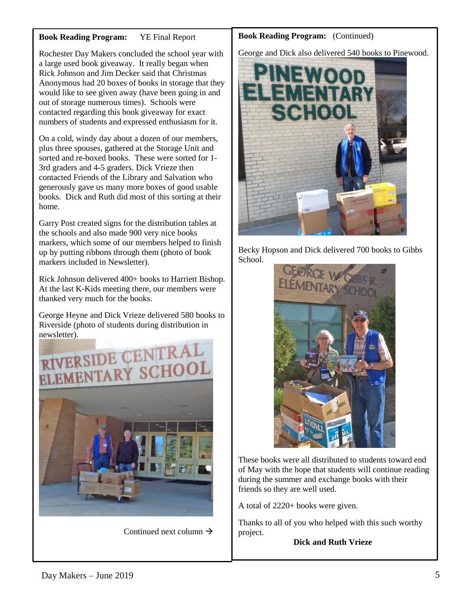## **Book Reading Program:** YE Final Report

Rochester Day Makers concluded the school year with a large used book giveaway. It really began when Rick Johnson and Jim Decker said that Christmas Anonymous had 20 boxes of books in storage that they would like to see given away (have been going in and out of storage numerous times). Schools were contacted regarding this book giveaway for exact numbers of students and expressed enthusiasm for it.

On a cold, windy day about a dozen of our members, plus three spouses, gathered at the Storage Unit and sorted and re-boxed books. These were sorted for 1- 3rd graders and 4-5 graders. Dick Vrieze then contacted Friends of the Library and Salvation who generously gave us many more boxes of good usable books. Dick and Ruth did most of this sorting at their home.

Garry Post created signs for the distribution tables at the schools and also made 900 very nice books markers, which some of our members helped to finish up by putting ribbons through them (photo of book markers included in Newsletter).

Rick Johnson delivered 400+ books to Harriett Bishop. At the last K-Kids meeting there, our members were thanked very much for the books.

George Heyne and Dick Vrieze delivered 580 books to Riverside (photo of students during distribution in newsletter).



Continued next column  $\rightarrow$ 

## **Book Reading Program:** (Continued)

George and Dick also delivered 540 books to Pinewood.



Becky Hopson and Dick delivered 700 books to Gibbs School.



These books were all distributed to students toward end of May with the hope that students will continue reading during the summer and exchange books with their friends so they are well used.

A total of 2220+ books were given.

Thanks to all of you who helped with this such worthy project.

## **Dick and Ruth Vrieze**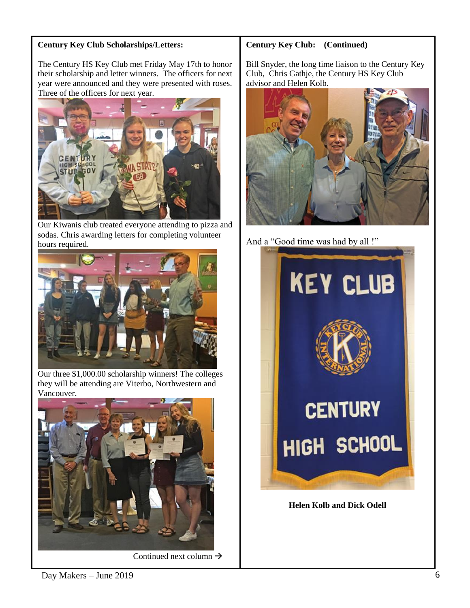# **Century Key Club Scholarships/Letters:**

The Century HS Key Club met Friday May 17th to honor their scholarship and letter winners. The officers for next year were announced and they were presented with roses. Three of the officers for next year.



Our Kiwanis club treated everyone attending to pizza and sodas. Chris awarding letters for completing volunteer hours required.



Our three \$1,000.00 scholarship winners! The colleges they will be attending are Viterbo, Northwestern and Vancouver.



Continued next column  $\rightarrow$ 

# **Century Key Club: (Continued)**

Bill Snyder, the long time liaison to the Century Key Club, Chris Gathje, the Century HS Key Club advisor and Helen Kolb.



And a "Good time was had by all !"



**Helen Kolb and Dick Odell**